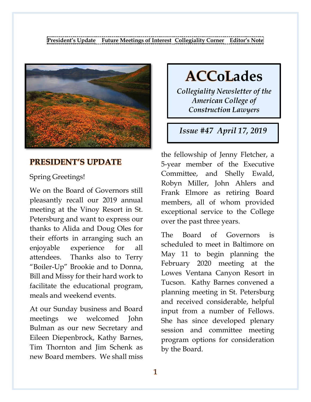**[President's](#page-0-0) Update Future [Meetings](#page-1-0) of Interest [Collegiality](#page-4-0) Corner [Editor's](#page-7-0) Note**

<span id="page-0-0"></span>

## **PRESIDENT'S UPDATE**

#### Spring Greetings!

We on the Board of Governors still pleasantly recall our 2019 annual meeting at the Vinoy Resort in St. Petersburg and want to express our thanks to Alida and Doug Oles for their efforts in arranging such an enjoyable experience for all attendees. Thanks also to Terry "Boiler-Up" Brookie and to Donna, Bill and Missy for their hard work to facilitate the educational program, meals and weekend events.

At our Sunday business and Board meetings we welcomed John Bulman as our new Secretary and Eileen Diepenbrock, Kathy Barnes, Tim Thornton and Jim Schenk as new Board members. We shall miss **ACCoLades** 

Collegiality Newsletter of the **American College of Construction Lawyers** 

Issue #47 April 17, 2019

the fellowship of Jenny Fletcher, a 5-year member of the Executive Committee, and Shelly Ewald, Robyn Miller, John Ahlers and Frank Elmore as retiring Board members, all of whom provided exceptional service to the College over the past three years.

The Board of Governors is scheduled to meet in Baltimore on May 11 to begin planning the February 2020 meeting at the Lowes Ventana Canyon Resort in Tucson. Kathy Barnes convened a planning meeting in St. Petersburg and received considerable, helpful input from a number of Fellows. She has since developed plenary session and committee meeting program options for consideration by the Board.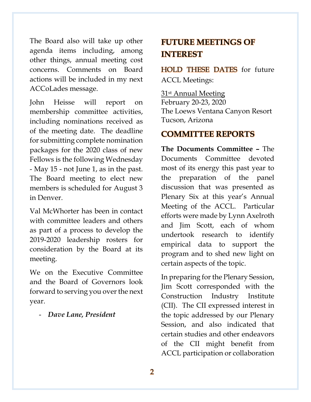The Board also will take up other agenda items including, among other things, annual meeting cost concerns. Comments on Board actions will be included in my next ACCoLades message.

John Heisse will report on membership committee activities, including nominations received as of the meeting date. The deadline for submitting complete nomination packages for the 2020 class of new Fellows is the following Wednesday - May 15 - not June 1, as in the past. The Board meeting to elect new members is scheduled for August 3 in Denver.

Val McWhorter has been in contact with committee leaders and others as part of a process to develop the 2019-2020 leadership rosters for consideration by the Board at its meeting.

We on the Executive Committee and the Board of Governors look forward to serving you over the next year.

- *Dave Lane, President*

# <span id="page-1-0"></span>**FUTURE MEETINGS OF INTEREST**

HOLD THESE DATES for future ACCL Meetings:

31st Annual Meeting February 20-23, 2020 The Loews Ventana Canyon Resort Tucson, Arizona

### **COMMITTEE REPORTS**

**The Documents Committee –** The Documents Committee devoted most of its energy this past year to the preparation of the panel discussion that was presented as Plenary Six at this year's Annual Meeting of the ACCL. Particular efforts were made by Lynn Axelroth and Jim Scott, each of whom undertook research to identify empirical data to support the program and to shed new light on certain aspects of the topic.

In preparing for the Plenary Session, Jim Scott corresponded with the Construction Industry Institute (CII). The CII expressed interest in the topic addressed by our Plenary Session, and also indicated that certain studies and other endeavors of the CII might benefit from ACCL participation or collaboration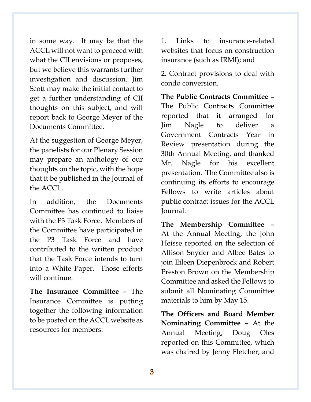in some way. It may be that the ACCL will not want to proceed with what the CII envisions or proposes, but we believe this warrants further investigation and discussion. Jim Scott may make the initial contact to get a further understanding of CII thoughts on this subject, and will report back to George Meyer of the Documents Committee.

At the suggestion of George Meyer, the panelists for our Plenary Session may prepare an anthology of our thoughts on the topic, with the hope that it be published in the Journal of the ACCL.

In addition, the Documents Committee has continued to liaise with the P3 Task Force. Members of the Committee have participated in the P3 Task Force and have contributed to the written product that the Task Force intends to turn into a White Paper. Those efforts will continue.

**The Insurance Committee –** The Insurance Committee is putting together the following information to be posted on the ACCL website as resources for members:

1. Links to insurance-related websites that focus on construction insurance (such as IRMI); and

2. Contract provisions to deal with condo conversion.

**The Public Contracts Committee –** The Public Contracts Committee reported that it arranged for Jim Nagle to deliver a Government Contracts Year in Review presentation during the 30th Annual Meeting, and thanked Mr. Nagle for his excellent presentation. The Committee also is continuing its efforts to encourage Fellows to write articles about public contract issues for the ACCL Journal.

**The Membership Committee –** At the Annual Meeting, the John Heisse reported on the selection of Allison Snyder and Albee Bates to join Eileen Diepenbrock and Robert Preston Brown on the Membership Committee and asked the Fellows to submit all Nominating Committee materials to him by May 15.

**The Officers and Board Member Nominating Committee –** At the Annual Meeting, Doug Oles reported on this Committee, which was chaired by Jenny Fletcher, and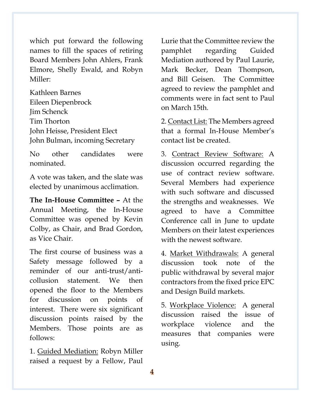which put forward the following names to fill the spaces of retiring Board Members John Ahlers, Frank Elmore, Shelly Ewald, and Robyn Miller:

Kathleen Barnes Eileen Diepenbrock Jim Schenck Tim Thorton John Heisse, President Elect John Bulman, incoming Secretary

No other candidates were nominated.

A vote was taken, and the slate was elected by unanimous acclimation.

**The In-House Committee –** At the Annual Meeting, the In-House Committee was opened by Kevin Colby, as Chair, and Brad Gordon, as Vice Chair.

The first course of business was a Safety message followed by a reminder of our anti-trust/anticollusion statement. We then opened the floor to the Members for discussion on points of interest. There were six significant discussion points raised by the Members. Those points are as follows:

1. Guided Mediation: Robyn Miller raised a request by a Fellow, Paul

Lurie that the Committee review the pamphlet regarding Guided Mediation authored by Paul Laurie, Mark Becker, Dean Thompson, and Bill Geisen. The Committee agreed to review the pamphlet and comments were in fact sent to Paul on March 15th.

2. Contact List: The Members agreed that a formal In-House Member's contact list be created.

3. Contract Review Software: A discussion occurred regarding the use of contract review software. Several Members had experience with such software and discussed the strengths and weaknesses. We agreed to have a Committee Conference call in June to update Members on their latest experiences with the newest software.

4. Market Withdrawals: A general discussion took note of the public withdrawal by several major contractors from the fixed price EPC and Design Build markets.

5. Workplace Violence: A general discussion raised the issue of workplace violence and the measures that companies were using.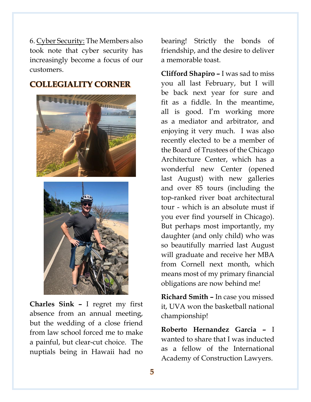6. Cyber Security: The Members also took note that cyber security has increasingly become a focus of our customers.

#### <span id="page-4-0"></span>**COLLEGIALITY CORNER**





**Charles Sink –** I regret my first absence from an annual meeting, but the wedding of a close friend from law school forced me to make a painful, but clear-cut choice. The nuptials being in Hawaii had no

bearing! Strictly the bonds of friendship, and the desire to deliver a memorable toast.

**Clifford Shapiro –** I was sad to miss you all last February, but I will be back next year for sure and fit as a fiddle. In the meantime, all is good. I'm working more as a mediator and arbitrator, and enjoying it very much. I was also recently elected to be a member of the Board of Trustees of the Chicago Architecture Center, which has a wonderful new Center (opened last August) with new galleries and over 85 tours (including the top-ranked river boat architectural tour - which is an absolute must if you ever find yourself in Chicago). But perhaps most importantly, my daughter (and only child) who was so beautifully married last August will graduate and receive her MBA from Cornell next month, which means most of my primary financial obligations are now behind me!

**Richard Smith –** In case you missed it, UVA won the basketball national championship!

**Roberto Hernandez Garcia –** I wanted to share that I was inducted as a fellow of the International Academy of Construction Lawyers.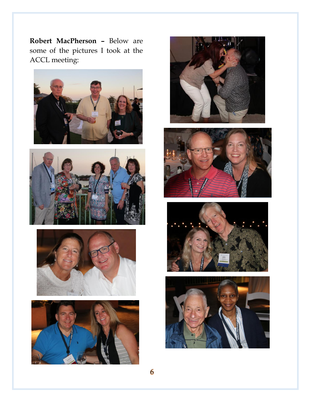**Robert MacPherson –** Below are some of the pictures I took at the ACCL meeting:















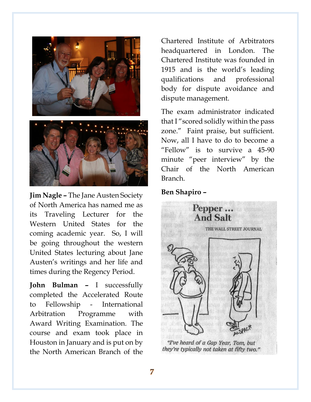

**Jim Nagle –** The Jane Austen Society of North America has named me as its Traveling Lecturer for the Western United States for the coming academic year. So, I will be going throughout the western United States lecturing about Jane Austen's writings and her life and times during the Regency Period.

**John Bulman –** I successfully completed the Accelerated Route to Fellowship - International Arbitration Programme with Award Writing Examination. The course and exam took place in Houston in January and is put on by the North American Branch of the

Chartered Institute of Arbitrators headquartered in London. The Chartered Institute was founded in 1915 and is the world's leading qualifications and professional body for dispute avoidance and dispute management.

The exam administrator indicated that I "scored solidly within the pass zone." Faint praise, but sufficient. Now, all I have to do to become a "Fellow" is to survive a 45-90 minute "peer interview" by the Chair of the North American Branch.

#### **Ben Shapiro –**



#### "I've heard of a Gap Year, Tom, but they're typically not taken at fifty two."